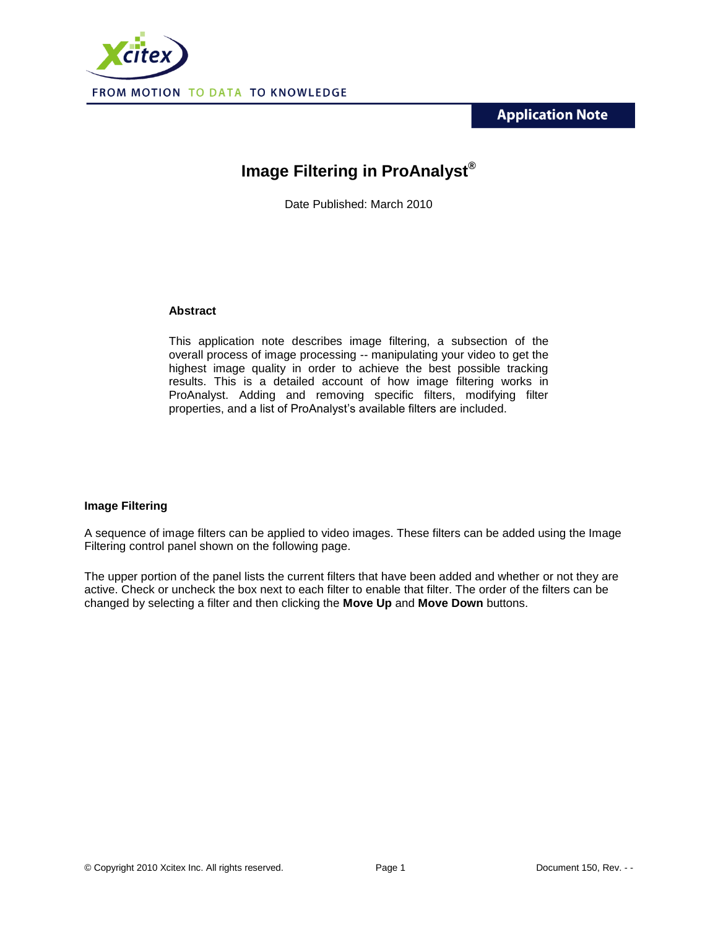**Application Note** 



# **Image Filtering in ProAnalyst®**

Date Published: March 2010

#### **Abstract**

This application note describes image filtering, a subsection of the overall process of image processing -- manipulating your video to get the highest image quality in order to achieve the best possible tracking results. This is a detailed account of how image filtering works in ProAnalyst. Adding and removing specific filters, modifying filter properties, and a list of ProAnalyst's available filters are included.

## **Image Filtering**

A sequence of image filters can be applied to video images. These filters can be added using the Image Filtering control panel shown on the following page.

The upper portion of the panel lists the current filters that have been added and whether or not they are active. Check or uncheck the box next to each filter to enable that filter. The order of the filters can be changed by selecting a filter and then clicking the **Move Up** and **Move Down** buttons.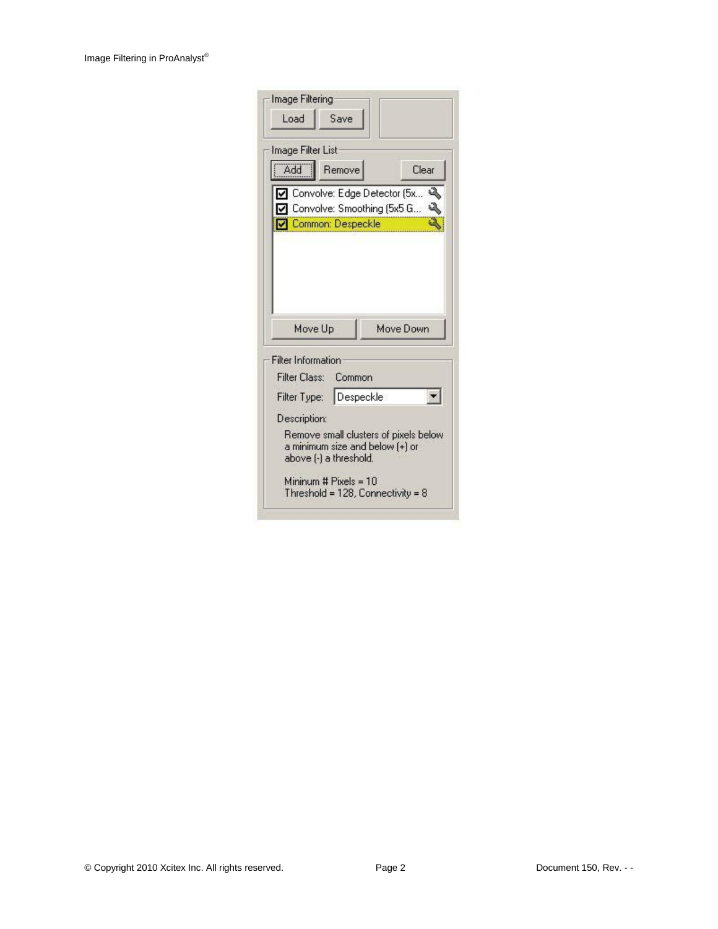| Load                               | Save                    |                                                                          |   |
|------------------------------------|-------------------------|--------------------------------------------------------------------------|---|
| Image Filter List                  |                         |                                                                          |   |
| Add                                | Remove                  | Clear                                                                    |   |
|                                    |                         | Convolve: Edge Detector (5x                                              | a |
|                                    | Common: Despeckle       | Convolve: Smoothing (5x5 G                                               |   |
|                                    |                         |                                                                          |   |
| Move Up                            |                         | Move Down                                                                |   |
| Filter Class: Common               |                         |                                                                          |   |
|                                    |                         |                                                                          |   |
| Filter Type: Despeckle             |                         |                                                                          |   |
| Filter Information<br>Description: |                         |                                                                          |   |
|                                    | above (-) a threshold.  | Remove small clusters of pixels below<br>a minimum size and below [+] or |   |
|                                    |                         |                                                                          |   |
|                                    | Mininum # $Pixels = 10$ | Threshold = $128$ , Connectivity = $8$                                   |   |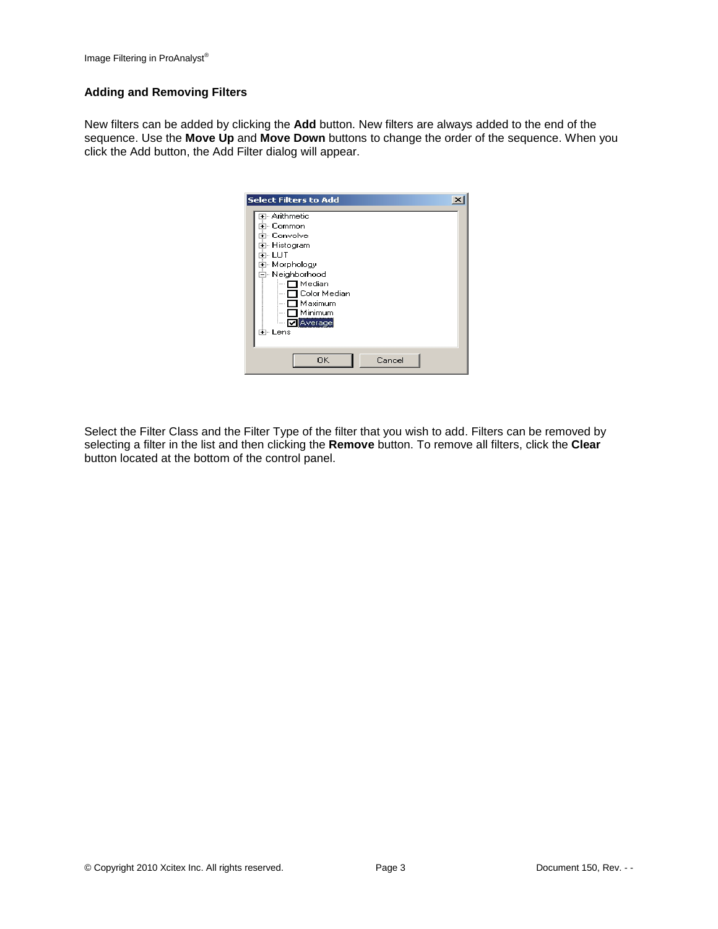## **Adding and Removing Filters**

New filters can be added by clicking the **Add** button. New filters are always added to the end of the sequence. Use the **Move Up** and **Move Down** buttons to change the order of the sequence. When you click the Add button, the Add Filter dialog will appear.

| <b>Select Filters to Add</b>                                                                                                                                                                         |  |
|------------------------------------------------------------------------------------------------------------------------------------------------------------------------------------------------------|--|
| म⊹ Arithmetic<br>मे⊹ Common<br>मे⊹ Convolve<br>⊞- Histogram<br>ਜੋ⊹ LUT<br>由 Morphology<br>⊟- Neighborhood<br>— ∏ Median<br>□ Color Median<br>$\Box$ Maximum<br>$\Box$ Minimum<br>MAverage<br>⊞⊹ Lens |  |
| 0K<br>Cancel                                                                                                                                                                                         |  |

Select the Filter Class and the Filter Type of the filter that you wish to add. Filters can be removed by selecting a filter in the list and then clicking the **Remove** button. To remove all filters, click the **Clear** button located at the bottom of the control panel.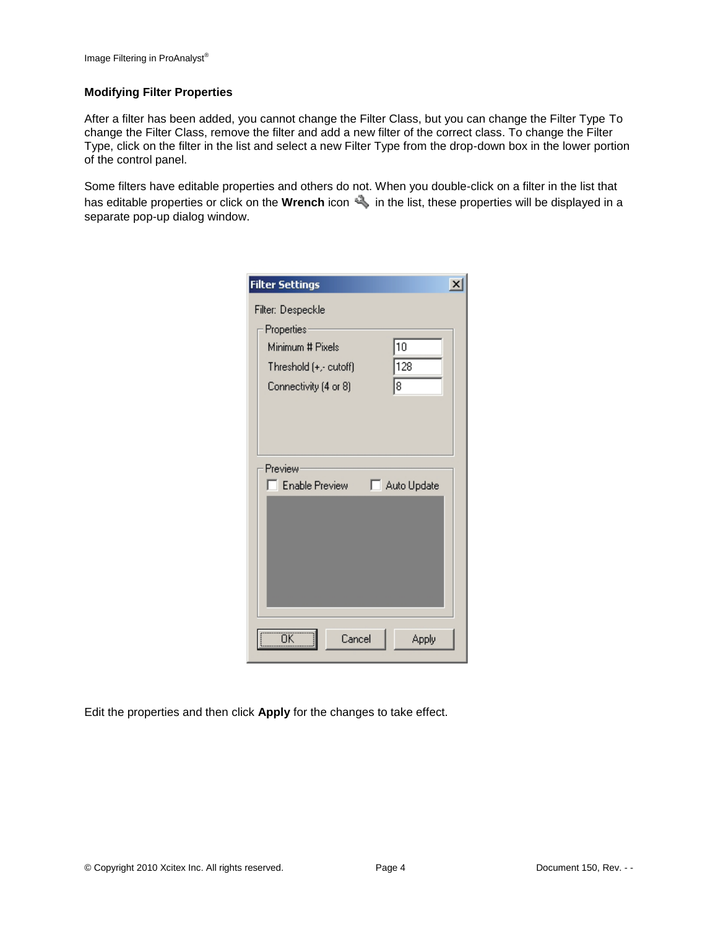#### **Modifying Filter Properties**

After a filter has been added, you cannot change the Filter Class, but you can change the Filter Type To change the Filter Class, remove the filter and add a new filter of the correct class. To change the Filter Type, click on the filter in the list and select a new Filter Type from the drop-down box in the lower portion of the control panel.

Some filters have editable properties and others do not. When you double-click on a filter in the list that has editable properties or click on the **Wrench** icon in the list, these properties will be displayed in a separate pop-up dialog window.

| <b>Filter Settings</b> | ×           |
|------------------------|-------------|
| Filter: Despeckle      |             |
| Properties:            |             |
| Minimum # Pixels       | 10          |
| Threshold (+,- cutoff) | 128         |
| Connectivity (4 or 8)  | 18          |
|                        |             |
|                        |             |
|                        |             |
| Preview                |             |
| Enable Preview         | Auto Update |
|                        |             |
|                        |             |
|                        |             |
|                        |             |
|                        |             |
|                        |             |
|                        |             |
| ÖΚ<br>Cancel           | Apply       |
|                        |             |

Edit the properties and then click **Apply** for the changes to take effect.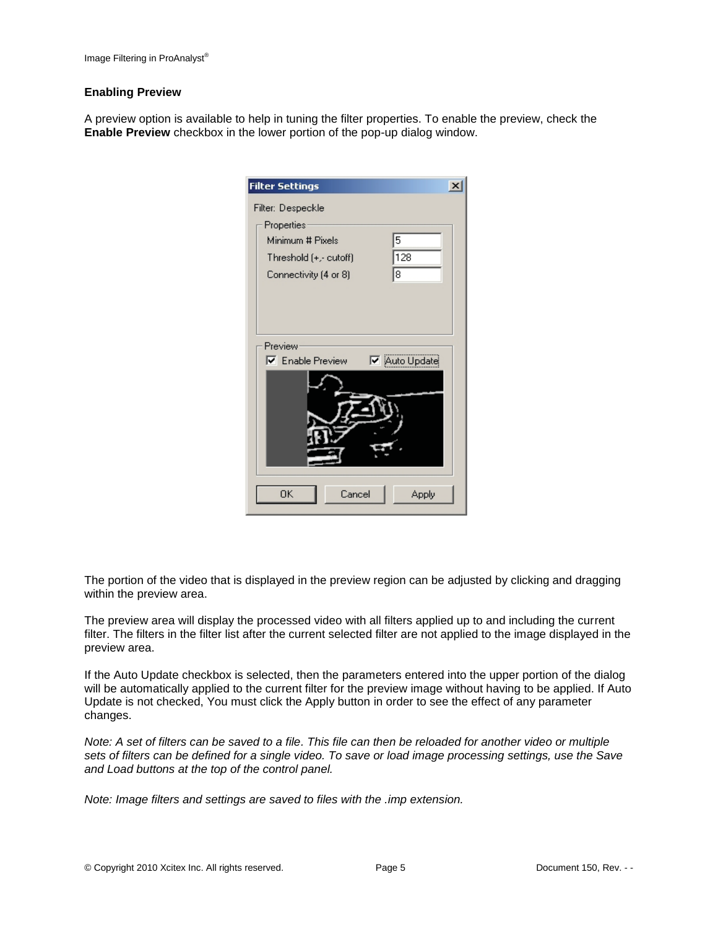#### **Enabling Preview**

A preview option is available to help in tuning the filter properties. To enable the preview, check the **Enable Preview** checkbox in the lower portion of the pop-up dialog window.

| <b>Filter Settings</b>  | $\overline{\mathbf{x}}$ |
|-------------------------|-------------------------|
| Filter: Despeckle       |                         |
| Properties              |                         |
| Minimum # Pixels        | 5                       |
| Threshold (+,- cutoff)  | 128                     |
| Connectivity (4 or 8)   | 18                      |
|                         |                         |
|                         |                         |
|                         |                         |
| Preview                 |                         |
| <b>▽</b> Enable Preview | <b>▽</b> Auto Update    |
|                         |                         |
|                         |                         |
|                         |                         |
|                         |                         |
|                         |                         |
|                         |                         |
|                         |                         |
| OΚ<br>Cancel            | Apply                   |

The portion of the video that is displayed in the preview region can be adjusted by clicking and dragging within the preview area.

The preview area will display the processed video with all filters applied up to and including the current filter. The filters in the filter list after the current selected filter are not applied to the image displayed in the preview area.

If the Auto Update checkbox is selected, then the parameters entered into the upper portion of the dialog will be automatically applied to the current filter for the preview image without having to be applied. If Auto Update is not checked, You must click the Apply button in order to see the effect of any parameter changes.

*Note: A set of filters can be saved to a file. This file can then be reloaded for another video or multiple sets of filters can be defined for a single video. To save or load image processing settings, use the Save and Load buttons at the top of the control panel.*

*Note: Image filters and settings are saved to files with the .imp extension.*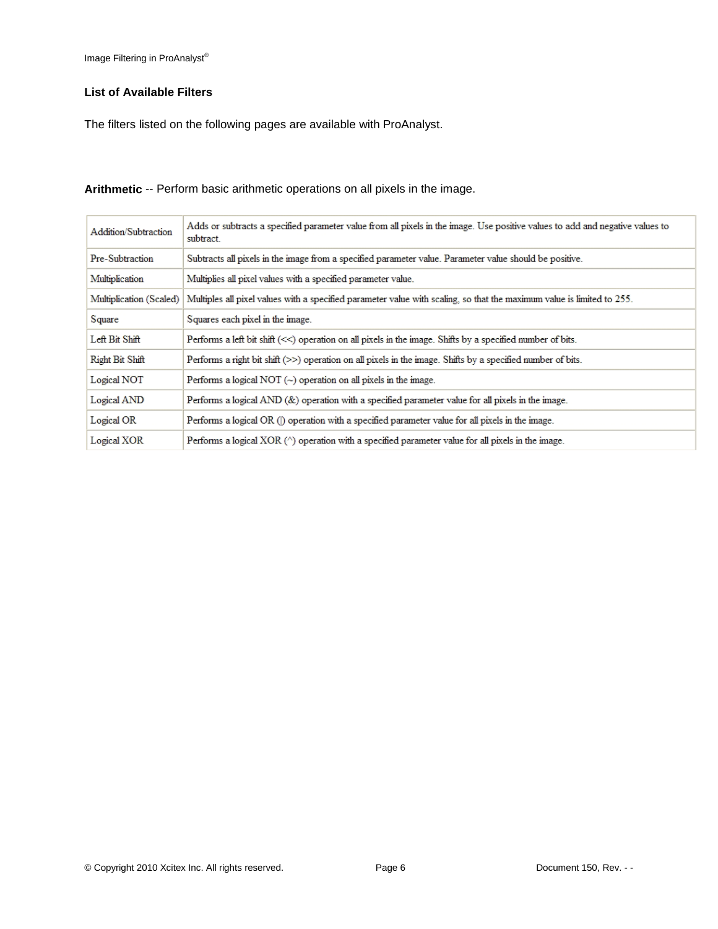## **List of Available Filters**

The filters listed on the following pages are available with ProAnalyst.

| Addition/Subtraction    | Adds or subtracts a specified parameter value from all pixels in the image. Use positive values to add and negative values to<br>subtract. |
|-------------------------|--------------------------------------------------------------------------------------------------------------------------------------------|
| Pre-Subtraction         | Subtracts all pixels in the image from a specified parameter value. Parameter value should be positive.                                    |
| Multiplication          | Multiplies all pixel values with a specified parameter value.                                                                              |
| Multiplication (Scaled) | Multiples all pixel values with a specified parameter value with scaling, so that the maximum value is limited to 255.                     |
| Square                  | Squares each pixel in the image.                                                                                                           |
| Left Bit Shift          | Performs a left bit shift (<<) operation on all pixels in the image. Shifts by a specified number of bits.                                 |
| Right Bit Shift         | Performs a right bit shift $(\gg)$ operation on all pixels in the image. Shifts by a specified number of bits.                             |
| Logical NOT             | Performs a logical NOT $(\sim)$ operation on all pixels in the image.                                                                      |
| Logical AND             | Performs a logical $AND(\&)$ operation with a specified parameter value for all pixels in the image.                                       |
| Logical OR              | Performs a logical OR () operation with a specified parameter value for all pixels in the image.                                           |
| Logical XOR             | Performs a logical XOR ( $\land$ ) operation with a specified parameter value for all pixels in the image.                                 |

**Arithmetic** -- Perform basic arithmetic operations on all pixels in the image.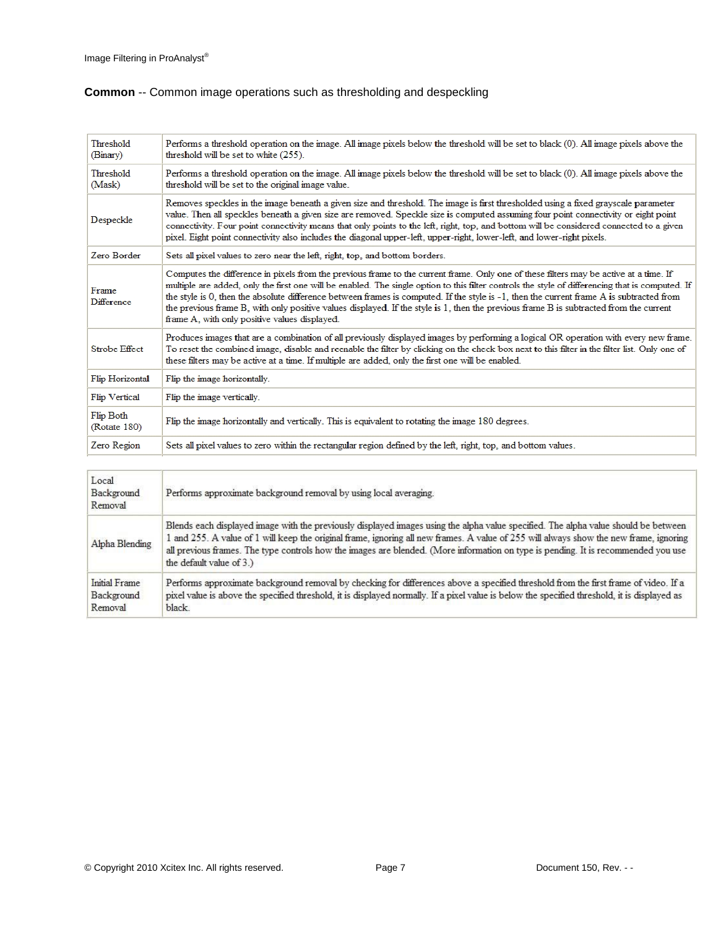# **Common** -- Common image operations such as thresholding and despeckling

| Threshold<br>Performs a threshold operation on the image. All image pixels below the threshold will be set to black (0). All image pixels above the<br>threshold will be set to white (255).<br>(Binary)<br>Threshold<br>Performs a threshold operation on the image. All image pixels below the threshold will be set to black (0). All image pixels above the<br>threshold will be set to the original image value.<br>(Mask)<br>Removes speckles in the image beneath a given size and threshold. The image is first thresholded using a fixed grayscale parameter<br>value. Then all speckles beneath a given size are removed. Speckle size is computed assuming four point connectivity or eight point<br>Despeckle<br>connectivity. Four point connectivity means that only points to the left, right, top, and bottom will be considered connected to a given<br>pixel. Eight point connectivity also includes the diagonal upper-left, upper-right, lower-left, and lower-right pixels.<br>Zero Border<br>Sets all pixel values to zero near the left, right, top, and bottom borders.<br>Computes the difference in pixels from the previous frame to the current frame. Only one of these filters may be active at a time. If<br>multiple are added, only the first one will be enabled. The single option to this filter controls the style of differencing that is computed. If<br>Frame<br>the style is 0, then the absolute difference between frames is computed. If the style is -1, then the current frame A is subtracted from<br><b>Difference</b><br>the previous frame B, with only positive values displayed. If the style is 1, then the previous frame B is subtracted from the current<br>frame A, with only positive values displayed.<br>Produces images that are a combination of all previously displayed images by performing a logical OR operation with every new frame.<br><b>Strobe Effect</b><br>To reset the combined image, disable and reenable the filter by clicking on the check box next to this filter in the filter list. Only one of<br>these filters may be active at a time. If multiple are added, only the first one will be enabled.<br>Flip Horizontal<br>Flip the image horizontally.<br>Flip Vertical<br>Flip the image vertically.<br>Flip Both<br>Flip the image horizontally and vertically. This is equivalent to rotating the image 180 degrees.<br>(Rotate 180) |  |
|-----------------------------------------------------------------------------------------------------------------------------------------------------------------------------------------------------------------------------------------------------------------------------------------------------------------------------------------------------------------------------------------------------------------------------------------------------------------------------------------------------------------------------------------------------------------------------------------------------------------------------------------------------------------------------------------------------------------------------------------------------------------------------------------------------------------------------------------------------------------------------------------------------------------------------------------------------------------------------------------------------------------------------------------------------------------------------------------------------------------------------------------------------------------------------------------------------------------------------------------------------------------------------------------------------------------------------------------------------------------------------------------------------------------------------------------------------------------------------------------------------------------------------------------------------------------------------------------------------------------------------------------------------------------------------------------------------------------------------------------------------------------------------------------------------------------------------------------------------------------------------------------------------------------------------------------------------------------------------------------------------------------------------------------------------------------------------------------------------------------------------------------------------------------------------------------------------------------------------------------------------------------------------------------------------------------------------------------------------------------------------------------------------------------------------|--|
|                                                                                                                                                                                                                                                                                                                                                                                                                                                                                                                                                                                                                                                                                                                                                                                                                                                                                                                                                                                                                                                                                                                                                                                                                                                                                                                                                                                                                                                                                                                                                                                                                                                                                                                                                                                                                                                                                                                                                                                                                                                                                                                                                                                                                                                                                                                                                                                                                             |  |
|                                                                                                                                                                                                                                                                                                                                                                                                                                                                                                                                                                                                                                                                                                                                                                                                                                                                                                                                                                                                                                                                                                                                                                                                                                                                                                                                                                                                                                                                                                                                                                                                                                                                                                                                                                                                                                                                                                                                                                                                                                                                                                                                                                                                                                                                                                                                                                                                                             |  |
|                                                                                                                                                                                                                                                                                                                                                                                                                                                                                                                                                                                                                                                                                                                                                                                                                                                                                                                                                                                                                                                                                                                                                                                                                                                                                                                                                                                                                                                                                                                                                                                                                                                                                                                                                                                                                                                                                                                                                                                                                                                                                                                                                                                                                                                                                                                                                                                                                             |  |
|                                                                                                                                                                                                                                                                                                                                                                                                                                                                                                                                                                                                                                                                                                                                                                                                                                                                                                                                                                                                                                                                                                                                                                                                                                                                                                                                                                                                                                                                                                                                                                                                                                                                                                                                                                                                                                                                                                                                                                                                                                                                                                                                                                                                                                                                                                                                                                                                                             |  |
|                                                                                                                                                                                                                                                                                                                                                                                                                                                                                                                                                                                                                                                                                                                                                                                                                                                                                                                                                                                                                                                                                                                                                                                                                                                                                                                                                                                                                                                                                                                                                                                                                                                                                                                                                                                                                                                                                                                                                                                                                                                                                                                                                                                                                                                                                                                                                                                                                             |  |
|                                                                                                                                                                                                                                                                                                                                                                                                                                                                                                                                                                                                                                                                                                                                                                                                                                                                                                                                                                                                                                                                                                                                                                                                                                                                                                                                                                                                                                                                                                                                                                                                                                                                                                                                                                                                                                                                                                                                                                                                                                                                                                                                                                                                                                                                                                                                                                                                                             |  |
|                                                                                                                                                                                                                                                                                                                                                                                                                                                                                                                                                                                                                                                                                                                                                                                                                                                                                                                                                                                                                                                                                                                                                                                                                                                                                                                                                                                                                                                                                                                                                                                                                                                                                                                                                                                                                                                                                                                                                                                                                                                                                                                                                                                                                                                                                                                                                                                                                             |  |
|                                                                                                                                                                                                                                                                                                                                                                                                                                                                                                                                                                                                                                                                                                                                                                                                                                                                                                                                                                                                                                                                                                                                                                                                                                                                                                                                                                                                                                                                                                                                                                                                                                                                                                                                                                                                                                                                                                                                                                                                                                                                                                                                                                                                                                                                                                                                                                                                                             |  |
|                                                                                                                                                                                                                                                                                                                                                                                                                                                                                                                                                                                                                                                                                                                                                                                                                                                                                                                                                                                                                                                                                                                                                                                                                                                                                                                                                                                                                                                                                                                                                                                                                                                                                                                                                                                                                                                                                                                                                                                                                                                                                                                                                                                                                                                                                                                                                                                                                             |  |
| Zero Region<br>Sets all pixel values to zero within the rectangular region defined by the left, right, top, and bottom values.                                                                                                                                                                                                                                                                                                                                                                                                                                                                                                                                                                                                                                                                                                                                                                                                                                                                                                                                                                                                                                                                                                                                                                                                                                                                                                                                                                                                                                                                                                                                                                                                                                                                                                                                                                                                                                                                                                                                                                                                                                                                                                                                                                                                                                                                                              |  |

| Local<br>Background<br>Removal                | Performs approximate background removal by using local averaging.                                                                                                                                                                                                                                                                                                                                                                               |
|-----------------------------------------------|-------------------------------------------------------------------------------------------------------------------------------------------------------------------------------------------------------------------------------------------------------------------------------------------------------------------------------------------------------------------------------------------------------------------------------------------------|
| Alpha Blending                                | Blends each displayed image with the previously displayed images using the alpha value specified. The alpha value should be between<br>1 and 255. A value of 1 will keep the original frame, ignoring all new frames. A value of 255 will always show the new frame, ignoring<br>all previous frames. The type controls how the images are blended. (More information on type is pending. It is recommended you use<br>the default value of 3.) |
| <b>Initial Frame</b><br>Background<br>Removal | Performs approximate background removal by checking for differences above a specified threshold from the first frame of video. If a<br>pixel value is above the specified threshold, it is displayed normally. If a pixel value is below the specified threshold, it is displayed as<br>black.                                                                                                                                                  |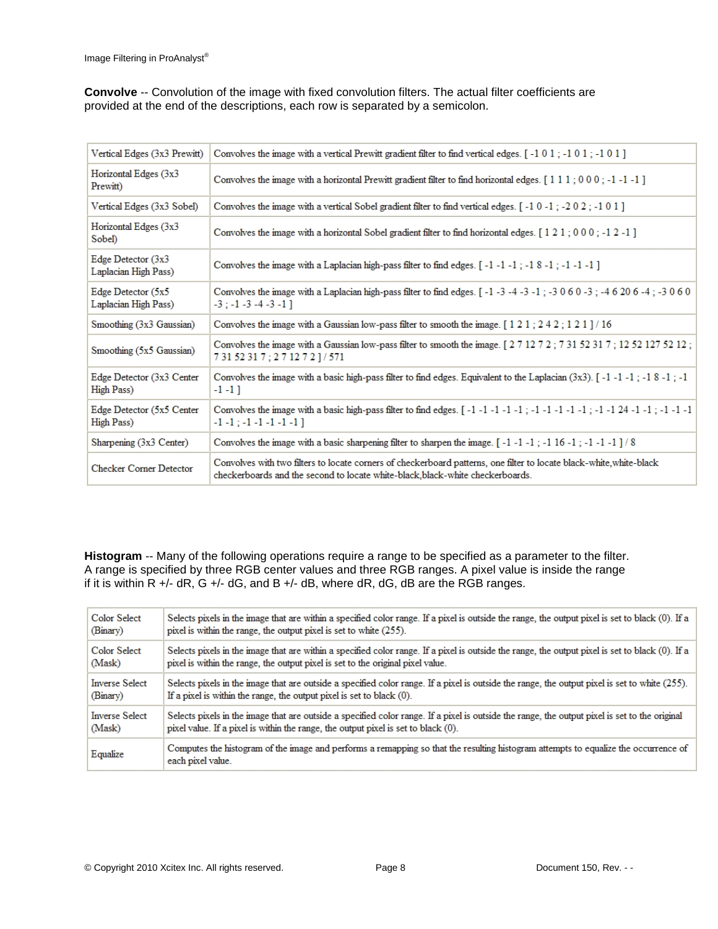**Convolve** -- Convolution of the image with fixed convolution filters. The actual filter coefficients are provided at the end of the descriptions, each row is separated by a semicolon.

| Vertical Edges (3x3 Prewitt)                  | Convolves the image with a vertical Prewitt gradient filter to find vertical edges. [-101; -101; -101]                                                                                                                                              |
|-----------------------------------------------|-----------------------------------------------------------------------------------------------------------------------------------------------------------------------------------------------------------------------------------------------------|
| Horizontal Edges (3x3<br>Prewitt)             | Convolves the image with a horizontal Prewitt gradient filter to find horizontal edges. $[1\ 1\ 1\ 1\ 0\ 0\ 0\ -1\ -1\ 1]$                                                                                                                          |
| Vertical Edges (3x3 Sobel)                    | Convolves the image with a vertical Sobel gradient filter to find vertical edges. $\lceil -1 \ 0 \ -1 \rceil$ = 2 0 2 ; -1 0 1 ]                                                                                                                    |
| Horizontal Edges (3x3<br>Sobel)               | Convolves the image with a horizontal Sobel gradient filter to find horizontal edges. [121; 000; -12-1]                                                                                                                                             |
| Edge Detector $(3x3)$<br>Laplacian High Pass) | Convolves the image with a Laplacian high-pass filter to find edges. [-1-1-1; -18-1; -1-1-1]                                                                                                                                                        |
| Edge Detector (5x5<br>Laplacian High Pass)    | Convolves the image with a Laplacian high-pass filter to find edges. $[-1 \cdot 3 \cdot 4 \cdot 3 \cdot 1]$ ; $-3 \cdot 0 \cdot 6 \cdot 0 \cdot 3$ ; $-4 \cdot 6 \cdot 20 \cdot 6 \cdot 4$ ; $-3 \cdot 0 \cdot 6 \cdot 0$<br>$-3: -1 -3 -4 -3 -1$ ] |
| Smoothing (3x3 Gaussian)                      | Convolves the image with a Gaussian low-pass filter to smooth the image. $\lceil 1 \cdot 2 \cdot 1 \cdot 2 \cdot 2 \cdot 1 \rceil / 16$                                                                                                             |
| Smoothing (5x5 Gaussian)                      | Convolves the image with a Gaussian low-pass filter to smooth the image. [271272; 73152317; 12521275212;<br>73152317; 271272]/571                                                                                                                   |
| Edge Detector (3x3 Center<br>High Pass)       | Convolves the image with a basic high-pass filter to find edges. Equivalent to the Laplacian (3x3). [-1-1-1; -18-1; -1<br>$-1 - 1$ ]                                                                                                                |
| Edge Detector (5x5 Center<br>High Pass)       | $-1$ $-1$ $-1$ $-1$ $-1$ $-1$ $-1$ $-1$                                                                                                                                                                                                             |
| Sharpening $(3x3$ Center)                     | Convolves the image with a basic sharpening filter to sharpen the image. $\lceil -1 \rceil -1 \rceil -1 \rceil -1 \rceil -1 \rceil -1 \rceil -1 \rceil \rceil 8$                                                                                    |
| <b>Checker Corner Detector</b>                | Convolves with two filters to locate corners of checkerboard patterns, one filter to locate black-white, white-black<br>checkerboards and the second to locate white-black, black-white checkerboards.                                              |

**Histogram** -- Many of the following operations require a range to be specified as a parameter to the filter. A range is specified by three RGB center values and three RGB ranges. A pixel value is inside the range if it is within  $R +$ /- d $R$ ,  $G +$ /- d $G$ , and  $B +$ /- d $B$ , where d $R$ , d $G$ , d $B$  are the RGB ranges.

| Color Select          | Selects pixels in the image that are within a specified color range. If a pixel is outside the range, the output pixel is set to black (0). If a         |
|-----------------------|----------------------------------------------------------------------------------------------------------------------------------------------------------|
| (Binary)              | pixel is within the range, the output pixel is set to white (255).                                                                                       |
| Color Select          | Selects pixels in the image that are within a specified color range. If a pixel is outside the range, the output pixel is set to black (0). If a         |
| (Mask)                | pixel is within the range, the output pixel is set to the original pixel value.                                                                          |
| <b>Inverse Select</b> | Selects pixels in the image that are outside a specified color range. If a pixel is outside the range, the output pixel is set to white (255).           |
| (Binary)              | If a pixel is within the range, the output pixel is set to black (0).                                                                                    |
| <b>Inverse Select</b> | Selects pixels in the image that are outside a specified color range. If a pixel is outside the range, the output pixel is set to the original           |
| (Mask)                | pixel value. If a pixel is within the range, the output pixel is set to black (0).                                                                       |
| Equalize              | Computes the histogram of the image and performs a remapping so that the resulting histogram attempts to equalize the occurrence of<br>each pixel value. |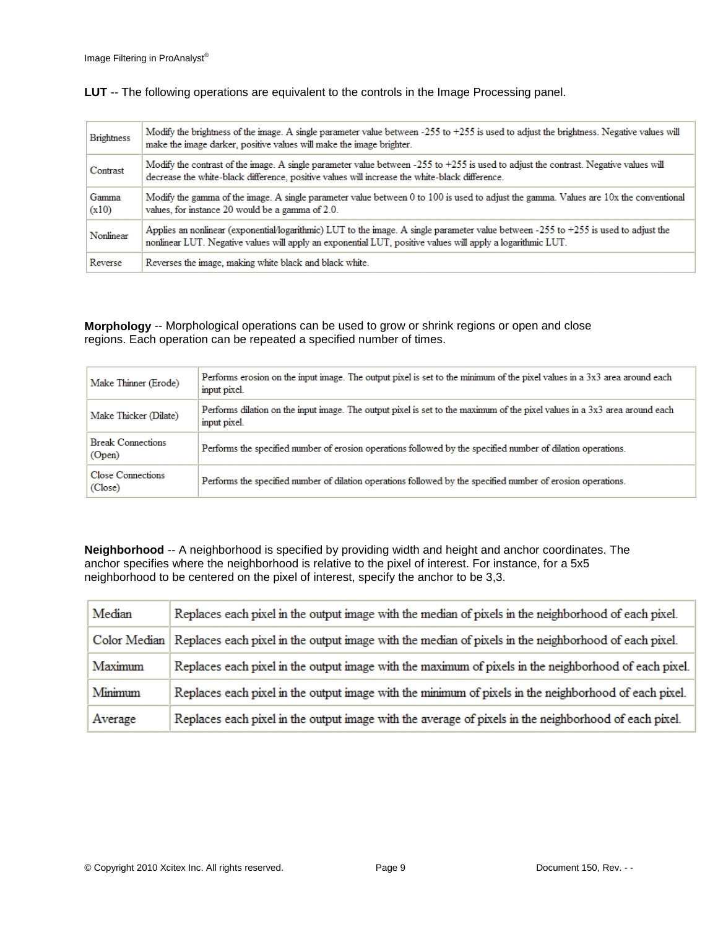| <b>Brightness</b> | Modify the brightness of the image. A single parameter value between -255 to +255 is used to adjust the brightness. Negative values will<br>make the image darker, positive values will make the image brighter.                                    |
|-------------------|-----------------------------------------------------------------------------------------------------------------------------------------------------------------------------------------------------------------------------------------------------|
| Contrast          | Modify the contrast of the image. A single parameter value between -255 to +255 is used to adjust the contrast. Negative values will<br>decrease the white-black difference, positive values will increase the white-black difference.              |
| Gamma<br>(x10)    | Modify the gamma of the image. A single parameter value between 0 to 100 is used to adjust the gamma. Values are 10x the conventional<br>values, for instance 20 would be a gamma of 2.0.                                                           |
| Nonlinear         | Applies an nonlinear (exponential/logarithmic) LUT to the image. A single parameter value between -255 to +255 is used to adjust the<br>nonlinear LUT. Negative values will apply an exponential LUT, positive values will apply a logarithmic LUT. |
| Reverse           | Reverses the image, making white black and black white.                                                                                                                                                                                             |

**LUT** -- The following operations are equivalent to the controls in the Image Processing panel.

**Morphology** -- Morphological operations can be used to grow or shrink regions or open and close regions. Each operation can be repeated a specified number of times.

| Make Thinner (Erode)                | Performs erosion on the input image. The output pixel is set to the minimum of the pixel values in a 3x3 area around each<br>input pixel.  |
|-------------------------------------|--------------------------------------------------------------------------------------------------------------------------------------------|
| Make Thicker (Dilate)               | Performs dilation on the input image. The output pixel is set to the maximum of the pixel values in a 3x3 area around each<br>input pixel. |
| <b>Break Connections</b><br>(Open)  | Performs the specified number of erosion operations followed by the specified number of dilation operations.                               |
| <b>Close Connections</b><br>(Close) | Performs the specified number of dilation operations followed by the specified number of erosion operations.                               |

**Neighborhood** -- A neighborhood is specified by providing width and height and anchor coordinates. The anchor specifies where the neighborhood is relative to the pixel of interest. For instance, for a 5x5 neighborhood to be centered on the pixel of interest, specify the anchor to be 3,3.

| Median  | Replaces each pixel in the output image with the median of pixels in the neighborhood of each pixel.                |
|---------|---------------------------------------------------------------------------------------------------------------------|
|         | Color Median   Replaces each pixel in the output image with the median of pixels in the neighborhood of each pixel. |
| Maximum | Replaces each pixel in the output image with the maximum of pixels in the neighborhood of each pixel.               |
| Minimum | Replaces each pixel in the output image with the minimum of pixels in the neighborhood of each pixel.               |
| Average | Replaces each pixel in the output image with the average of pixels in the neighborhood of each pixel.               |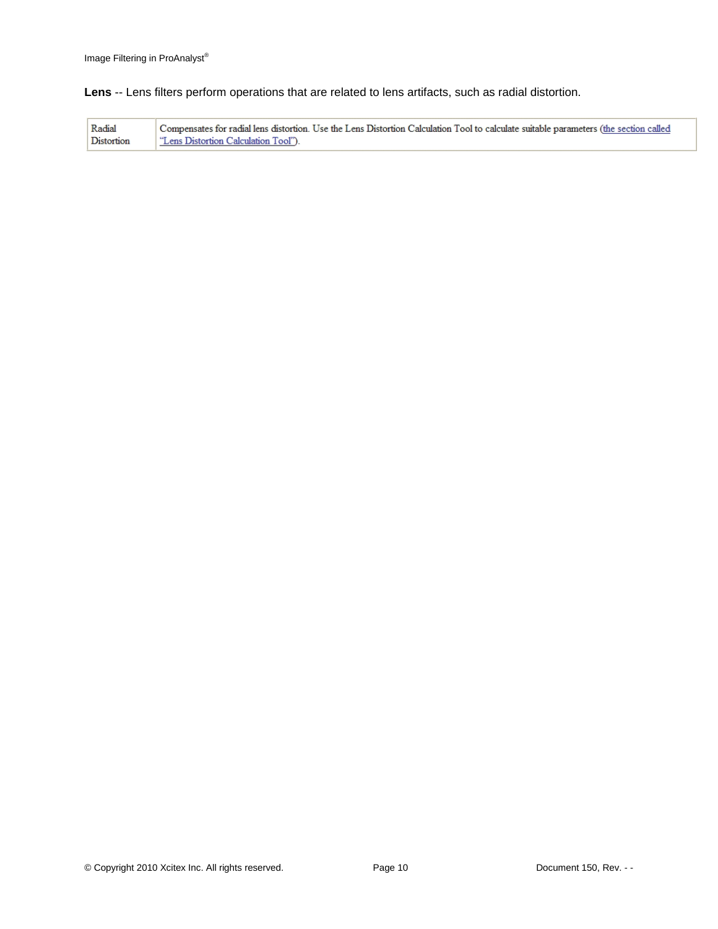**Lens** -- Lens filters perform operations that are related to lens artifacts, such as radial distortion.

| Radial     | Compensates for radial lens distortion. Use the Lens Distortion Calculation Tool to calculate suitable parameters (the section called |
|------------|---------------------------------------------------------------------------------------------------------------------------------------|
| Distortion | "Lens Distortion Calculation Tool").                                                                                                  |